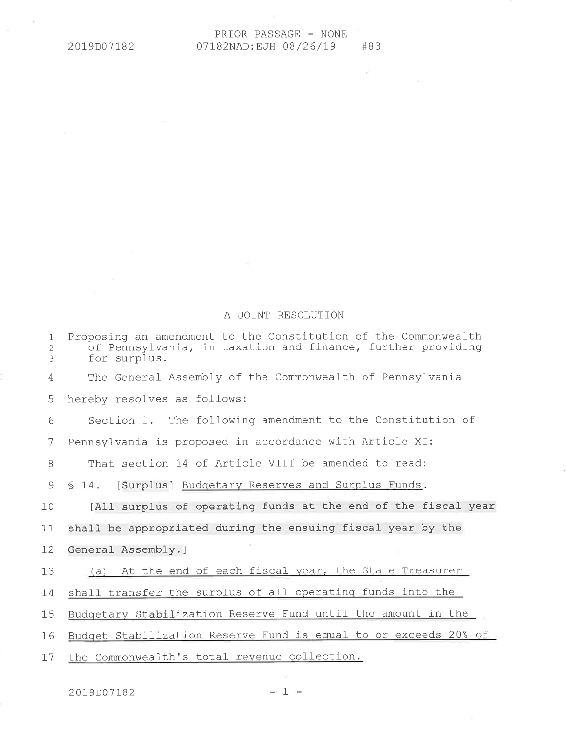$\langle \sigma \rangle$ 

 $-10^{\circ}$ 

## A JOINT RESOLUTION

| $\mathbf{1}$<br>$\overline{2}$<br>3 | Proposing an amendment to the Constitution of the Commonwealth<br>of Pennsylvania, in taxation and finance, further providing<br>for surplus. |
|-------------------------------------|-----------------------------------------------------------------------------------------------------------------------------------------------|
| 4                                   | The General Assembly of the Commonwealth of Pennsylvania                                                                                      |
| 5                                   | hereby resolves as follows:                                                                                                                   |
| 6                                   | Section 1. The following amendment to the Constitution of                                                                                     |
| 7                                   | Pennsylvania is proposed in accordance with Article XI:                                                                                       |
| 8                                   | That section 14 of Article VIII be amended to read:                                                                                           |
| 9                                   | [Surplus] Budgetary Reserves and Surplus Funds.<br>\$14.                                                                                      |
| 10                                  | [All surplus of operating funds at the end of the fiscal year                                                                                 |
| 11                                  | shall be appropriated during the ensuing fiscal year by the                                                                                   |
| 12                                  | General Assembly.]                                                                                                                            |
| 13                                  | At the end of each fiscal year, the State Treasurer<br>(a)                                                                                    |
| 14                                  | shall transfer the surplus of all operating funds into the                                                                                    |
| 15                                  | Budgetary Stabilization Reserve Fund until the amount in the                                                                                  |
| 16                                  | Budget Stabilization Reserve Fund is equal to or exceeds 20% of                                                                               |
| 17                                  | the Commonwealth's total revenue collection.                                                                                                  |

2019D07182

 $\sim 10^{11}$  $= 1 =$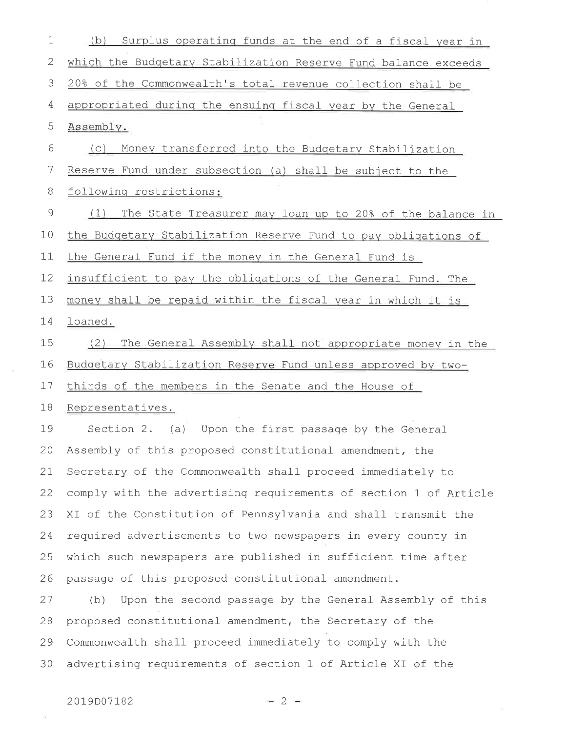$\mathbf 1$ (b) Surplus operating funds at the end of a fiscal year in  $\sqrt{2}$ which the Budgetary Stabilization Reserve Fund balance exceeds 3 20% of the Commonwealth's total revenue collection shall be appropriated during the ensuing fiscal year by the General  $\overline{4}$ 5 Assembly. 6 (c) Money transferred into the Budgetary Stabilization  $\overline{7}$ Reserve Fund under subsection (a) shall be subject to the  $8\,$ following restrictions: (1) The State Treasurer may loan up to 20% of the balance in 9 the Budgetary Stabilization Reserve Fund to pay obligations of  $10$  $11$ the General Fund if the money in the General Fund is  $12$ insufficient to pay the obligations of the General Fund. The 13 money shall be repaid within the fiscal year in which it is 14 loaned. 15 (2) The General Assembly shall not appropriate money in the 16 Budgetary Stabilization Reserve Fund unless approved by two-17 thirds of the members in the Senate and the House of 18 Representatives. 19 Section 2. (a) Upon the first passage by the General Assembly of this proposed constitutional amendment, the 20 21 Secretary of the Commonwealth shall proceed immediately to 22 comply with the advertising requirements of section 1 of Article XI of the Constitution of Pennsylvania and shall transmit the 23 required advertisements to two newspapers in every county in 24 which such newspapers are published in sufficient time after 25 26 passage of this proposed constitutional amendment. 27 (b) Upon the second passage by the General Assembly of this proposed constitutional amendment, the Secretary of the 28 Commonwealth shall proceed immediately to comply with the 29 advertising requirements of section 1 of Article XI of the 30

 $-2 -$